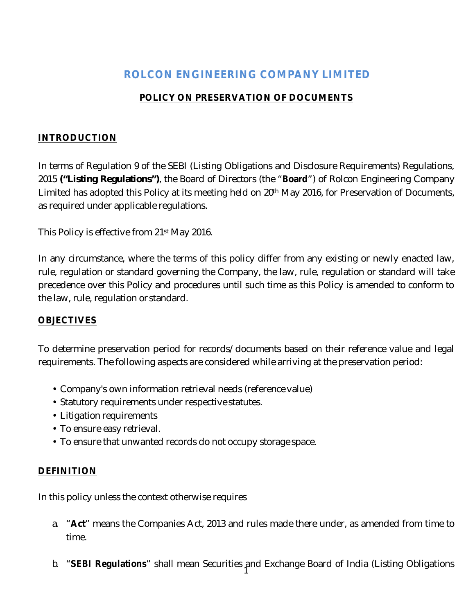# **ROLCON ENGINEERING COMPANY LIMITED**

# **POLICY ON PRESERVATION OF DOCUMENTS**

#### **INTRODUCTION**

In terms of Regulation 9 of the SEBI (Listing Obligations and Disclosure Requirements) Regulations, 2015 **("Listing Regulations")**, the Board of Directors (the "**Board**") of Rolcon Engineering Company Limited has adopted this Policy at its meeting held on 20<sup>th</sup> May 2016, for Preservation of Documents, as required under applicable regulations.

This Policy is effective from 21st May 2016.

In any circumstance, where the terms of this policy differ from any existing or newly enacted law, rule, regulation or standard governing the Company, the law, rule, regulation or standard will take precedence over this Policy and procedures until such time as this Policy is amended to conform to the law, rule, regulation or standard.

#### **OBJECTIVES**

To determine preservation period for records/documents based on their reference value and legal requirements. The following aspects are considered while arriving at the preservation period:

- Company's own information retrieval needs (reference value)
- Statutory requirements under respective statutes.
- Litigation requirements
- To ensure easy retrieval.
- To ensure that unwanted records do not occupy storage space.

## **DEFINITION**

In this policy unless the context otherwise requires

- a. "**Act**" means the Companies Act, 2013 and rules made there under, as amended from time to time.
- 1 b. "**SEBI Regulations**" shall mean Securities and Exchange Board of India (Listing Obligations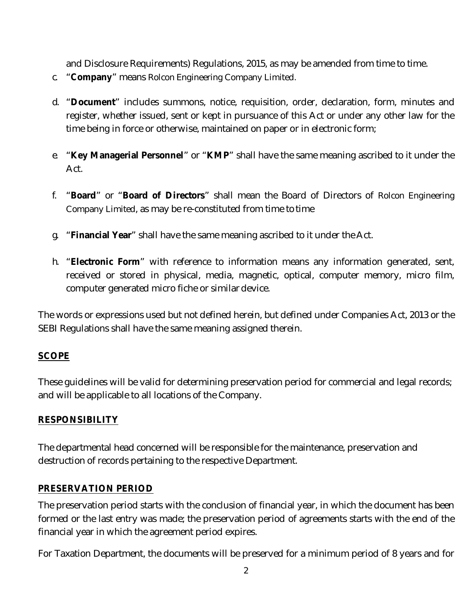and Disclosure Requirements) Regulations, 2015, as may be amended from time to time.

- c. "**Company**" means Rolcon Engineering Company Limited.
- d. "**Document**" includes summons, notice, requisition, order, declaration, form, minutes and register, whether issued, sent or kept in pursuance of this Act or under any other law for the time being in force or otherwise, maintained on paper or in electronic form;
- e. "**Key Managerial Personnel**" or "**KMP**" shall have the same meaning ascribed to it under the Act.
- f. "**Board**" or "**Board of Directors**" shall mean the Board of Directors of Rolcon Engineering Company Limited, as may be re-constituted from time to time
- g. "**Financial Year**" shall have the same meaning ascribed to it under the Act.
- h. "**Electronic Form**" with reference to information means any information generated, sent, received or stored in physical, media, magnetic, optical, computer memory, micro film, computer generated micro fiche or similar device.

The words or expressions used but not defined herein, but defined under Companies Act, 2013 or the SEBI Regulations shall have the same meaning assigned therein.

## **SCOPE**

These guidelines will be valid for determining preservation period for commercial and legal records; and will be applicable to all locations of the Company.

## **RESPONSIBILITY**

The departmental head concerned will be responsible for the maintenance, preservation and destruction of records pertaining to the respective Department.

## **PRESERVATION PERIOD**

The preservation period starts with the conclusion of financial year, in which the document has been formed or the last entry was made; the preservation period of agreements starts with the end of the financial year in which the agreement period expires.

For Taxation Department, the documents will be preserved for a minimum period of 8 years and for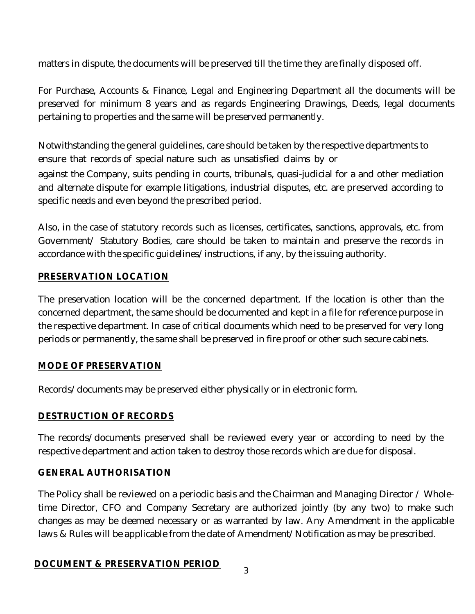matters in dispute, the documents will be preserved till the time they are finally disposed off.

For Purchase, Accounts & Finance, Legal and Engineering Department all the documents will be preserved for minimum 8 years and as regards Engineering Drawings, Deeds, legal documents pertaining to properties and the same will be preserved permanently.

Notwithstanding the general guidelines, care should be taken by the respective departments to ensure that records of special nature such as unsatisfied claims by or against the Company, suits pending in courts, tribunals, quasi-judicial for a and other mediation and alternate dispute for example litigations, industrial disputes, etc. are preserved according to specific needs and even beyond the prescribed period.

Also, in the case of statutory records such as licenses, certificates, sanctions, approvals, etc. from Government/ Statutory Bodies, care should be taken to maintain and preserve the records in accordance with the specific guidelines/instructions, if any, by the issuing authority.

## **PRESERVATION LOCATION**

The preservation location will be the concerned department. If the location is other than the concerned department, the same should be documented and kept in a file for reference purpose in the respective department. In case of critical documents which need to be preserved for very long periods or permanently, the same shall be preserved in fire proof or other such secure cabinets.

## **MODE OF PRESERVATION**

Records/documents may be preserved either physically or in electronic form.

# **DESTRUCTION OF RECORDS**

The records/documents preserved shall be reviewed every year or according to need by the respective department and action taken to destroy those records which are due for disposal.

## **GENERAL AUTHORISATION**

The Policy shall be reviewed on a periodic basis and the Chairman and Managing Director / Wholetime Director, CFO and Company Secretary are authorized jointly (by any two) to make such changes as may be deemed necessary or as warranted by law. Any Amendment in the applicable laws & Rules will be applicable from the date of Amendment/Notification as may be prescribed.

## **DOCUMENT & PRESERVATION PERIOD**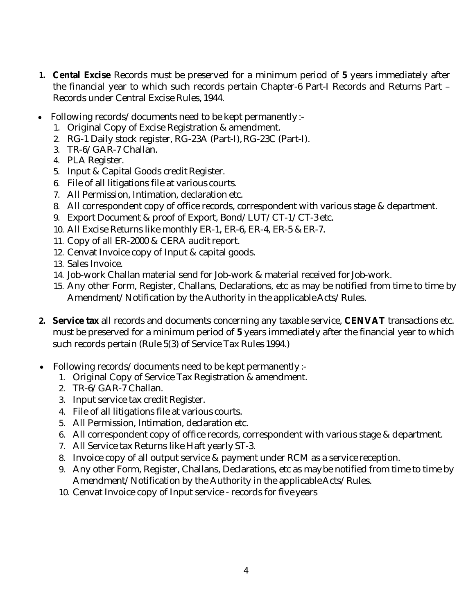- **1. Cental Excise** Records must be preserved for a minimum period of **5** years immediately after the financial year to which such records pertain Chapter-6 Part-I Records and Returns Part – Records under Central Excise Rules, 1944.
- Following records/documents need to be kept permanently :-
	- 1. Original Copy of Excise Registration & amendment.
	- 2. RG-1 Daily stock register, RG-23A (Part-I), RG-23C (Part-I).
	- 3. TR-6/GAR-7 Challan.
	- 4. PLA Register.
	- 5. Input & Capital Goods credit Register.
	- 6. File of all litigations file at various courts.
	- 7. All Permission, Intimation, declaration etc.
	- 8. All correspondent copy of office records, correspondent with various stage & department.
	- 9. Export Document & proof of Export, Bond/LUT/CT-1/CT-3 etc.
	- 10. All Excise Returns like monthly ER-1, ER-6, ER-4, ER-5 & ER-7.
	- 11. Copy of all ER-2000 & CERA audit report.
	- 12. Cenvat Invoice copy of Input & capital goods.
	- 13. Sales Invoice.
	- 14. Job-work Challan material send for Job-work & material received forJob-work.
	- 15. Any other Form, Register, Challans, Declarations, etc as may be notified from time to time by Amendment/Notification by the Authority in the applicable Acts/Rules.
- **2. Service tax** all records and documents concerning any taxable service, **CENVAT** transactions etc. must be preserved for a minimum period of **5** years immediately after the financial year to which such records pertain (Rule 5(3) of Service Tax Rules 1994.)
- Following records/documents need to be kept permanently :-
	- 1. Original Copy of Service Tax Registration & amendment.
	- 2. TR-6/GAR-7 Challan.
	- 3. Input service tax credit Register.
	- 4. File of all litigations file at various courts.
	- 5. All Permission, Intimation, declaration etc.
	- 6. All correspondent copy of office records, correspondent with various stage & department.
	- 7. All Service tax Returns like Haft yearly ST-3.
	- 8. Invoice copy of all output service & payment under RCM as a service reception.
	- 9. Any other Form, Register, Challans, Declarations, etc as maybe notified from time to time by Amendment/Notification by the Authority in the applicableActs/Rules.
	- 10. Cenvat Invoice copy of Input service records for five years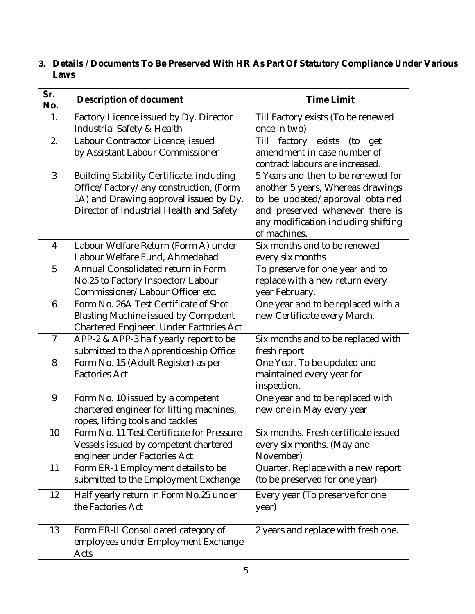**3. Details / Documents To Be Preserved With HR As Part Of Statutory Compliance Under Various Laws**

| Sr.<br>No.     | Description of document                                                                                                                                                   | Time Limit                                                                                                                                                                                           |
|----------------|---------------------------------------------------------------------------------------------------------------------------------------------------------------------------|------------------------------------------------------------------------------------------------------------------------------------------------------------------------------------------------------|
| 1.             | Factory Licence issued by Dy. Director<br>Industrial Safety & Health                                                                                                      | Till Factory exists (To be renewed<br>once in two)                                                                                                                                                   |
| 2.             | Labour Contractor Licence, issued<br>by Assistant Labour Commissioner                                                                                                     | factory exists<br>Till<br>(to<br>get<br>amendment in case number of<br>contract labours are increased.                                                                                               |
| $\mathfrak{Z}$ | Building Stability Certificate, including<br>Office/Factory/any construction, (Form<br>1A) and Drawing approval issued by Dy.<br>Director of Industrial Health and Safety | 5 Years and then to be renewed for<br>another 5 years, Whereas drawings<br>to be updated/approval obtained<br>and preserved whenever there is<br>any modification including shifting<br>of machines. |
| $\overline{4}$ | Labour Welfare Return (Form A) under<br>Labour Welfare Fund, Ahmedabad                                                                                                    | Six months and to be renewed<br>every six months                                                                                                                                                     |
| 5              | Annual Consolidated return in Form<br>No.25 to Factory Inspector/Labour<br>Commissioner/Labour Officer etc.                                                               | To preserve for one year and to<br>replace with a new return every<br>year February.                                                                                                                 |
| 6              | Form No. 26A Test Certificate of Shot<br><b>Blasting Machine issued by Competent</b><br>Chartered Engineer. Under Factories Act                                           | One year and to be replaced with a<br>new Certificate every March.                                                                                                                                   |
| $\overline{7}$ | APP-2 & APP-3 half yearly report to be<br>submitted to the Apprenticeship Office                                                                                          | Six months and to be replaced with<br>fresh report                                                                                                                                                   |
| 8              | Form No. 15 (Adult Register) as per<br><b>Factories Act</b>                                                                                                               | One Year. To be updated and<br>maintained every year for<br>inspection.                                                                                                                              |
| 9              | Form No. 10 issued by a competent<br>chartered engineer for lifting machines,<br>ropes, lifting tools and tackles                                                         | One year and to be replaced with<br>new one in May every year                                                                                                                                        |
| 10             | Form No. 11 Test Certificate for Pressure<br>Vessels issued by competent chartered<br>engineer under Factories Act                                                        | Six months. Fresh certificate issued<br>every six months. (May and<br>November)                                                                                                                      |
| 11             | Form ER-1 Employment details to be<br>submitted to the Employment Exchange                                                                                                | Quarter. Replace with a new report<br>(to be preserved for one year)                                                                                                                                 |
| 12             | Half yearly return in Form No.25 under<br>the Factories Act                                                                                                               | Every year (To preserve for one<br>year)                                                                                                                                                             |
| 13             | Form ER-II Consolidated category of<br>employees under Employment Exchange<br>Acts                                                                                        | 2 years and replace with fresh one.                                                                                                                                                                  |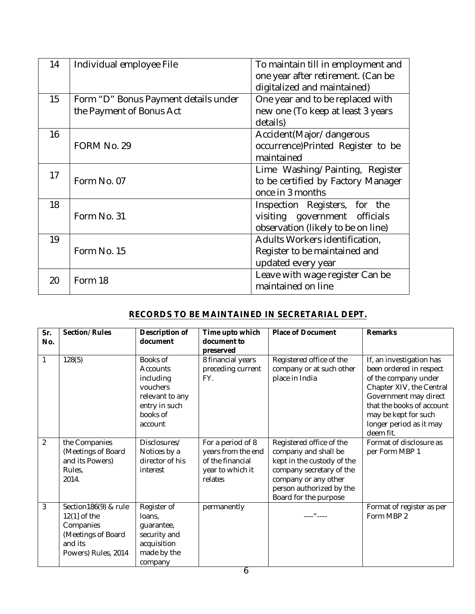| 14 | Individual employee File                                         | To maintain till in employment and<br>one year after retirement. (Can be<br>digitalized and maintained) |  |  |
|----|------------------------------------------------------------------|---------------------------------------------------------------------------------------------------------|--|--|
| 15 | Form "D" Bonus Payment details under<br>the Payment of Bonus Act | One year and to be replaced with<br>new one (To keep at least 3 years<br>details)                       |  |  |
| 16 | FORM No. 29                                                      | Accident (Major/dangerous<br>occurrence)Printed Register to be<br>maintained                            |  |  |
| 17 | Form No. 07                                                      | Lime Washing/Painting, Register<br>to be certified by Factory Manager<br>once in 3 months               |  |  |
| 18 | Form No. 31                                                      | Inspection Registers, for the<br>visiting government officials<br>observation (likely to be on line)    |  |  |
| 19 | Form No. 15                                                      | Adults Workers identification,<br>Register to be maintained and<br>updated every year                   |  |  |
| 20 | Form 18                                                          | Leave with wage register Can be<br>maintained on line                                                   |  |  |

#### **RECORDS TO BE MAINTAINED IN SECRETARIAL DEPT.**

| Sr.<br>No. | Section/Rules                                                                                               | Description of<br>document                                                                               | Time upto which<br>document to<br>preserved                                                | Place of Document                                                                                                                                                                       | Remarks                                                                                                                                                                                                                       |
|------------|-------------------------------------------------------------------------------------------------------------|----------------------------------------------------------------------------------------------------------|--------------------------------------------------------------------------------------------|-----------------------------------------------------------------------------------------------------------------------------------------------------------------------------------------|-------------------------------------------------------------------------------------------------------------------------------------------------------------------------------------------------------------------------------|
|            | 128(5)                                                                                                      | Books of<br>Accounts<br>including<br>vouchers<br>relevant to any<br>entry in such<br>books of<br>account | 8 financial years<br>preceding current<br>FY.                                              | Registered office of the<br>company or at such other<br>place in India                                                                                                                  | If, an investigation has<br>been ordered in respect<br>of the company under<br>Chapter XIV, the Central<br>Government may direct<br>that the books of account<br>may be kept for such<br>longer period as it may<br>deem fit. |
| 2          | the Companies<br>(Meetings of Board<br>and its Powers)<br>Rules,<br>2014.                                   | Disclosures/<br>Notices by a<br>director of his<br>interest                                              | For a period of 8<br>years from the end<br>of the financial<br>year to which it<br>relates | Registered office of the<br>company and shall be<br>kept in the custody of the<br>company secretary of the<br>company or any other<br>person authorized by the<br>Board for the purpose | Format of disclosure as<br>per Form MBP 1                                                                                                                                                                                     |
| 3          | Section186(9) & rule<br>$12(1)$ of the<br>Companies<br>(Meetings of Board<br>and its<br>Powers) Rules, 2014 | Register of<br>loans,<br>guarantee,<br>security and<br>acquisition<br>made by the<br>company             | permanently                                                                                | $\mathbf{u}$                                                                                                                                                                            | Format of register as per<br>Form MBP 2                                                                                                                                                                                       |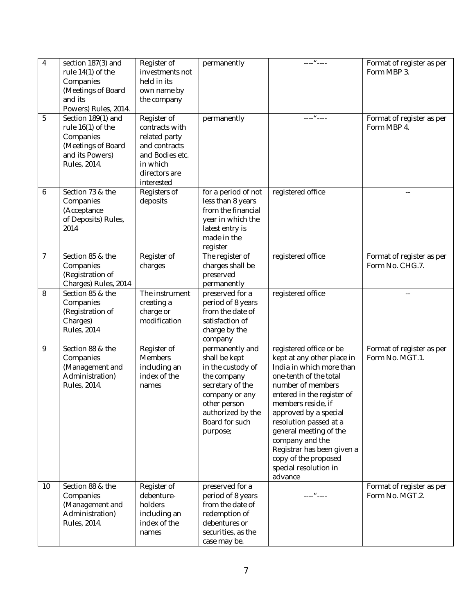| $\overline{4}$ | section 187(3) and<br>rule 14(1) of the<br>Companies<br>(Meetings of Board<br>and its<br>Powers) Rules, 2014. | Register of<br>investments not<br>held in its<br>own name by<br>the company                                                   | permanently                                                                                                                                                                   | $---u---$                                                                                                                                                                                                                                                                                                                                                                      | Format of register as per<br>Form MBP 3.     |
|----------------|---------------------------------------------------------------------------------------------------------------|-------------------------------------------------------------------------------------------------------------------------------|-------------------------------------------------------------------------------------------------------------------------------------------------------------------------------|--------------------------------------------------------------------------------------------------------------------------------------------------------------------------------------------------------------------------------------------------------------------------------------------------------------------------------------------------------------------------------|----------------------------------------------|
| 5              | Section 189(1) and<br>rule 16(1) of the<br>Companies<br>(Meetings of Board<br>and its Powers)<br>Rules, 2014. | Register of<br>contracts with<br>related party<br>and contracts<br>and Bodies etc.<br>in which<br>directors are<br>interested | permanently                                                                                                                                                                   | $---u---$                                                                                                                                                                                                                                                                                                                                                                      | Format of register as per<br>Form MBP 4.     |
| 6              | Section 73 & the<br>Companies<br>(Acceptance<br>of Deposits) Rules,<br>2014                                   | Registers of<br>deposits                                                                                                      | for a period of not<br>less than 8 years<br>from the financial<br>year in which the<br>latest entry is<br>made in the<br>register                                             | registered office                                                                                                                                                                                                                                                                                                                                                              | $\overline{a}$                               |
| $\overline{7}$ | Section 85 & the<br>Companies<br>(Registration of<br>Charges) Rules, 2014                                     | Register of<br>charges                                                                                                        | The register of<br>charges shall be<br>preserved<br>permanently                                                                                                               | registered office                                                                                                                                                                                                                                                                                                                                                              | Format of register as per<br>Form No. CHG.7. |
| 8              | Section 85 & the<br>Companies<br>(Registration of<br>Charges)<br><b>Rules</b> , 2014                          | The instrument<br>creating a<br>charge or<br>modification                                                                     | preserved for a<br>period of 8 years<br>from the date of<br>satisfaction of<br>charge by the<br>company                                                                       | registered office                                                                                                                                                                                                                                                                                                                                                              |                                              |
| 9              | Section 88 & the<br>Companies<br>(Management and<br>Administration)<br>Rules, 2014.                           | Register of<br>Members<br>including an<br>index of the<br>names                                                               | permanently and<br>shall be kept<br>in the custody of<br>the company<br>secretary of the<br>company or any<br>other person<br>authorized by the<br>Board for such<br>purpose; | registered office or be<br>kept at any other place in<br>India in which more than<br>one-tenth of the total<br>number of members<br>entered in the register of<br>members reside, if<br>approved by a special<br>resolution passed at a<br>general meeting of the<br>company and the<br>Registrar has been given a<br>copy of the proposed<br>special resolution in<br>advance | Format of register as per<br>Form No. MGT.1. |
| 10             | Section 88 & the<br>Companies<br>(Management and<br>Administration)<br>Rules, 2014.                           | Register of<br>debenture-<br>holders<br>including an<br>index of the<br>names                                                 | preserved for a<br>period of 8 years<br>from the date of<br>redemption of<br>debentures or<br>securities, as the<br>case may be.                                              | $\cdots \cdots \cdots \cdots$                                                                                                                                                                                                                                                                                                                                                  | Format of register as per<br>Form No. MGT.2. |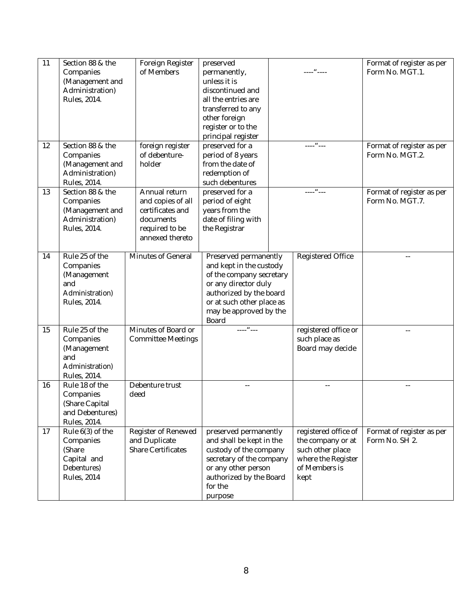| 11 | Section 88 & the<br>Companies<br>(Management and<br>Administration)<br>Rules, 2014.           | Foreign Register<br>of Members                                                                           | preserved<br>permanently,<br>unless it is<br>discontinued and<br>all the entries are<br>transferred to any<br>other foreign<br>register or to the<br>principal register                         | ----" ----                                                                                                   | Format of register as per<br>Form No. MGT.1. |
|----|-----------------------------------------------------------------------------------------------|----------------------------------------------------------------------------------------------------------|-------------------------------------------------------------------------------------------------------------------------------------------------------------------------------------------------|--------------------------------------------------------------------------------------------------------------|----------------------------------------------|
| 12 | Section 88 & the<br>Companies<br>(Management and<br>Administration)<br>Rules, 2014.           | foreign register<br>of debenture-<br>holder                                                              | preserved for a<br>period of 8 years<br>from the date of<br>redemption of<br>such debentures                                                                                                    | $---u---$                                                                                                    | Format of register as per<br>Form No. MGT.2. |
| 13 | Section 88 & the<br>Companies<br>(Management and<br>Administration)<br>Rules, 2014.           | Annual return<br>and copies of all<br>certificates and<br>documents<br>required to be<br>annexed thereto | preserved for a<br>period of eight<br>years from the<br>date of filing with<br>the Registrar                                                                                                    | $     -$                                                                                                     | Format of register as per<br>Form No. MGT.7. |
| 14 | Rule 25 of the<br>Companies<br>(Management<br>and<br>Administration)<br>Rules, 2014.          | Minutes of General                                                                                       | Preserved permanently<br>and kept in the custody<br>of the company secretary<br>or any director duly<br>authorized by the board<br>or at such other place as<br>may be approved by the<br>Board | Registered Office                                                                                            |                                              |
| 15 | Rule 25 of the<br>Companies<br>(Management<br>and<br>Administration)<br>Rules, 2014.          | Minutes of Board or<br><b>Committee Meetings</b>                                                         | $---u---$                                                                                                                                                                                       | registered office or<br>such place as<br>Board may decide                                                    |                                              |
| 16 | Rule 18 of the<br>Companies<br>(Share Capital<br>and Debentures)<br>Rules, 2014.              | Debenture trust<br>deed                                                                                  |                                                                                                                                                                                                 |                                                                                                              |                                              |
| 17 | Rule $6(3)$ of the<br>Companies<br>(Share<br>Capital and<br>Debentures)<br><b>Rules, 2014</b> | Register of Renewed<br>and Duplicate<br><b>Share Certificates</b>                                        | preserved permanently<br>and shall be kept in the<br>custody of the company<br>secretary of the company<br>or any other person<br>authorized by the Board<br>for the<br>purpose                 | registered office of<br>the company or at<br>such other place<br>where the Register<br>of Members is<br>kept | Format of register as per<br>Form No. SH 2.  |